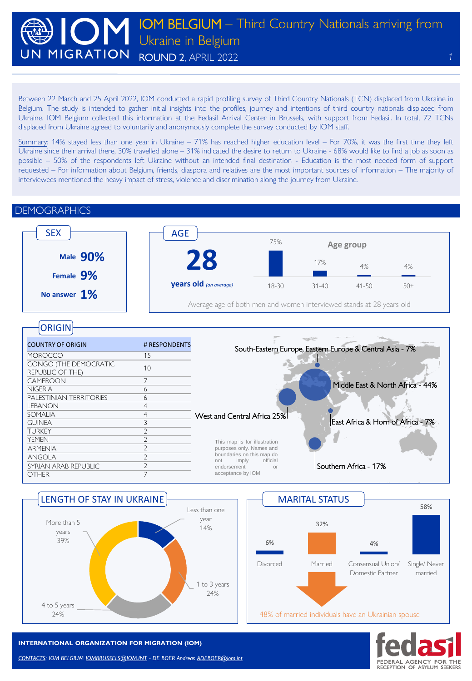Between 22 March and 25 April 2022, IOM conducted a rapid profiling survey of Third Country Nationals (TCN) displaced from Ukraine in Belgium. The study is intended to gather initial insights into the profiles, journey and intentions of third country nationals displaced from Ukraine. IOM Belgium collected this information at the Fedasil Arrival Center in Brussels, with support from Fedasil. In total, 72 TCNs displaced from Ukraine agreed to voluntarily and anonymously complete the survey conducted by IOM staff.

Summary: 14% stayed less than one year in Ukraine – 71% has reached higher education level – For 70%, it was the first time they left Ukraine since their arrival there, 30% travelled alone – 31% indicated the desire to return to Ukraine - 68% would like to find a job as soon as possible – 50% of the respondents left Ukraine without an intended final destination - Education is the most needed form of support requested – For information about Belgium, friends, diaspora and relatives are the most important sources of information – The majority of interviewees mentioned the heavy impact of stress, violence and discrimination along the journey from Ukraine.

#### COUNTRY OF ORIGIN # RESPONDENTS MOROCCO 15 CONGO (THE DEMOCRATIC REPUBLIC OF THE 2011 CONTROLLER THE 2012 **CAMEROON** NIGERIA 6 PALESTINIAN TERRITORIES 6 LEBANON 4 SOMALIA 4 GUINEA 3 TURKEY<br>
YEMENI 2 YEMEN ARMENIA 2 ANGOLA 2 SYRIAN ARAB REPUBLIC 2 OTHER 7 **DEMOGRAPHICS Male 90% Female 9% No answer 1% 28 years old** *(on average)* SEX  $\begin{array}{|c|c|c|}\n\hline\n\end{array}$  age 75% 17% 4% 4% 18-30 31-40 41-50 50+ **Age group** ORIGIN Average age of both men and women interviewed stands at 28 years old East Africa & Horn of Africa - 7% Southern Africa - 17% Middle East & North Africa - 44% South-Eastern Europe, Eastern Europe & Central Asia - 7% West and Central Africa 25% This map is for illustration purposes only. Names and boundaries on this map do<br>not imply official official endorsement acceptance by IOM







#### **INTERNATIONAL ORGANIZATION FOR MIGRATION (IOM)**

*CONTACTS: IOM BELGIUM [IOMBRUSSELS@IOM.INT](mailto:IOMBRUSSELS@IOM.INT) - DE BOER Andreas [ADEBOER@iom.int](mailto:ADEBOER@iom.int)*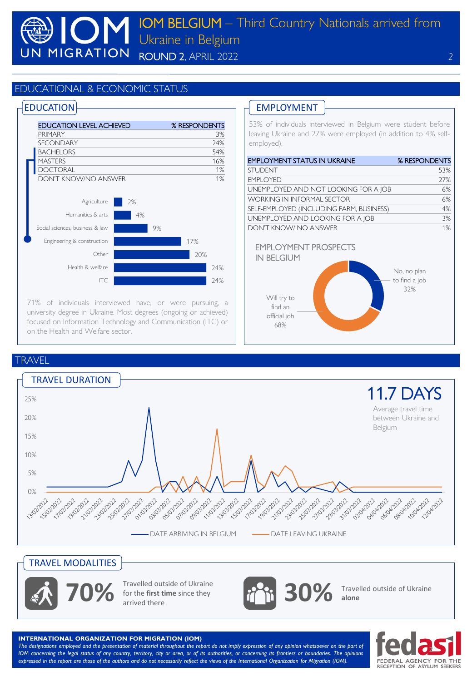### EDUCATIONAL & ECONOMIC STATUS

### **EDUCATION**



71% of individuals interviewed have, or were pursuing, a university degree in Ukraine. Most degrees (ongoing or achieved) focused on Information Technology and Communication (ITC) or on the Health and Welfare sector.

## EMPLOYMENT

53% of individuals interviewed in Belgium were student before leaving Ukraine and 27% were employed (in addition to 4% selfemployed).

| <b>EMPLOYMENT STATUS IN UKRAINE</b>                                                               | % RESPONDENTS                       |
|---------------------------------------------------------------------------------------------------|-------------------------------------|
| <b>STUDENT</b>                                                                                    | 53%                                 |
| <b>EMPLOYED</b>                                                                                   | 27%                                 |
| UNEMPLOYED AND NOT LOOKING FOR A JOB                                                              | 6%                                  |
| <b>WORKING IN INFORMAL SECTOR</b>                                                                 | 6%                                  |
| SELF-EMPLOYED (INCLUDING FARM, BUSINESS)                                                          | 4%                                  |
| UNEMPLOYED AND LOOKING FOR A JOB                                                                  | 3%                                  |
| DON'T KNOW/ NO ANSWER                                                                             | 1%                                  |
| <b>EMPLOYMENT PROSPECTS</b><br><b>IN BELGIUM</b><br>Will try to<br>find an<br>official job<br>68% | No, no plan<br>to find a job<br>32% |

**TRAVEL** 



# TRAVEL MODALITIES



Travelled outside of Ukraine<br>for the **first time** since they<br>arrived there for the **first time** since they

**30%** Travelled outside of Ukraine **alone**

**INTERNATIONAL ORGANIZATION FOR MIGRATION (IOM)**

The designations employed and the presentation of material throughout the report do not imply expression of any opinion whatsoever on the part of IOM concerning the legal status of any country, territory, city or area, or of its authorities, or concerning its frontiers or boundaries. The opinions expressed in the report are those of the authors and do not necessarily reflect the views of the International Organization for Migration (IOM).